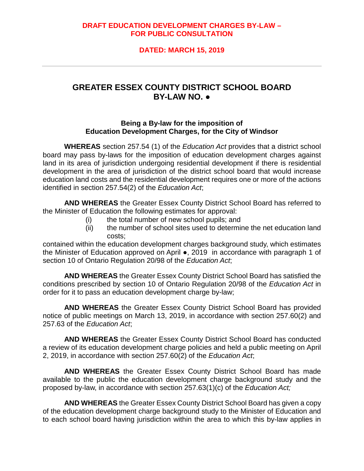### **DRAFT EDUCATION DEVELOPMENT CHARGES BY-LAW – FOR PUBLIC CONSULTATION**

### **DATED: MARCH 15, 2019**

# **GREATER ESSEX COUNTY DISTRICT SCHOOL BOARD BY-LAW NO. ●**

#### **Being a By-law for the imposition of Education Development Charges, for the City of Windsor**

**WHEREAS** section 257.54 (1) of the *Education Act* provides that a district school board may pass by-laws for the imposition of education development charges against land in its area of jurisdiction undergoing residential development if there is residential development in the area of jurisdiction of the district school board that would increase education land costs and the residential development requires one or more of the actions identified in section 257.54(2) of the *Education Act*;

**AND WHEREAS** the Greater Essex County District School Board has referred to the Minister of Education the following estimates for approval:

- (i) the total number of new school pupils; and
- (ii) the number of school sites used to determine the net education land costs;

contained within the education development charges background study, which estimates the Minister of Education approved on April ●, 2019 in accordance with paragraph 1 of section 10 of Ontario Regulation 20/98 of the *Education Act*;

**AND WHEREAS** the Greater Essex County District School Board has satisfied the conditions prescribed by section 10 of Ontario Regulation 20/98 of the *Education Act* in order for it to pass an education development charge by-law;

**AND WHEREAS** the Greater Essex County District School Board has provided notice of public meetings on March 13, 2019, in accordance with section 257.60(2) and 257.63 of the *Education Act*;

**AND WHEREAS** the Greater Essex County District School Board has conducted a review of its education development charge policies and held a public meeting on April 2, 2019, in accordance with section 257.60(2) of the *Education Act*;

**AND WHEREAS** the Greater Essex County District School Board has made available to the public the education development charge background study and the proposed by-law, in accordance with section 257.63(1)(c) of the *Education Act;*

**AND WHEREAS** the Greater Essex County District School Board has given a copy of the education development charge background study to the Minister of Education and to each school board having jurisdiction within the area to which this by-law applies in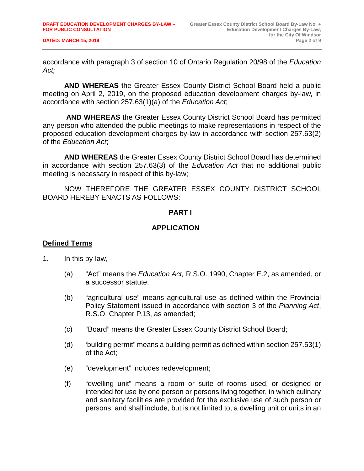**DATED: MARCH 15, 2019** 

accordance with paragraph 3 of section 10 of Ontario Regulation 20/98 of the *Education Act;*

**AND WHEREAS** the Greater Essex County District School Board held a public meeting on April 2, 2019, on the proposed education development charges by-law, in accordance with section 257.63(1)(a) of the *Education Act*;

**AND WHEREAS** the Greater Essex County District School Board has permitted any person who attended the public meetings to make representations in respect of the proposed education development charges by-law in accordance with section 257.63(2) of the *Education Act*;

**AND WHEREAS** the Greater Essex County District School Board has determined in accordance with section 257.63(3) of the *Education Act* that no additional public meeting is necessary in respect of this by-law;

NOW THEREFORE THE GREATER ESSEX COUNTY DISTRICT SCHOOL BOARD HEREBY ENACTS AS FOLLOWS:

#### **PART I**

### **APPLICATION**

#### **Defined Terms**

- 1. In this by-law,
	- (a) "Act" means the *Education Act,* R.S.O. 1990, Chapter E.2, as amended, or a successor statute;
	- (b) "agricultural use" means agricultural use as defined within the Provincial Policy Statement issued in accordance with section 3 of the *Planning Act*, R.S.O. Chapter P.13, as amended;
	- (c) "Board" means the Greater Essex County District School Board;
	- (d) 'building permit" means a building permit as defined within section 257.53(1) of the Act;
	- (e) "development" includes redevelopment;
	- (f) "dwelling unit" means a room or suite of rooms used, or designed or intended for use by one person or persons living together, in which culinary and sanitary facilities are provided for the exclusive use of such person or persons, and shall include, but is not limited to, a dwelling unit or units in an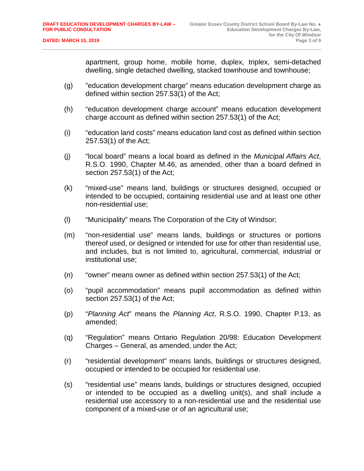apartment, group home, mobile home, duplex, triplex, semi-detached dwelling, single detached dwelling, stacked townhouse and townhouse;

- (g) "education development charge" means education development charge as defined within section 257.53(1) of the Act;
- (h) "education development charge account" means education development charge account as defined within section 257.53(1) of the Act;
- (i) "education land costs" means education land cost as defined within section 257.53(1) of the Act;
- (j) "local board" means a local board as defined in the *Municipal Affairs Act*, R.S.O. 1990, Chapter M.46, as amended, other than a board defined in section 257.53(1) of the Act;
- (k) "mixed-use" means land, buildings or structures designed, occupied or intended to be occupied, containing residential use and at least one other non-residential use;
- (l) "Municipality" means The Corporation of the City of Windsor;
- (m) "non-residential use" means lands, buildings or structures or portions thereof used, or designed or intended for use for other than residential use, and includes, but is not limited to, agricultural, commercial, industrial or institutional use;
- (n) "owner" means owner as defined within section 257.53(1) of the Act;
- (o) "pupil accommodation" means pupil accommodation as defined within section 257.53(1) of the Act;
- (p) "*Planning Act*" means the *Planning Act*, R.S.O. 1990, Chapter P.13, as amended;
- (q) "Regulation" means Ontario Regulation 20/98: Education Development Charges – General, as amended, under the Act;
- (r) "residential development" means lands, buildings or structures designed, occupied or intended to be occupied for residential use.
- (s) "residential use" means lands, buildings or structures designed, occupied or intended to be occupied as a dwelling unit(s), and shall include a residential use accessory to a non-residential use and the residential use component of a mixed-use or of an agricultural use;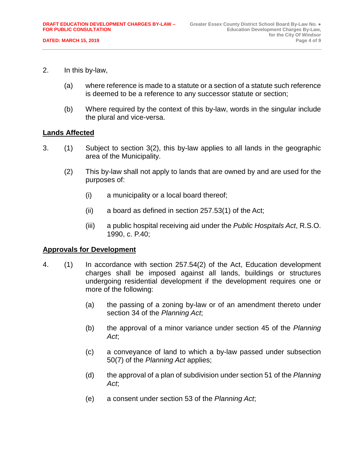- 2. In this by-law,
	- (a) where reference is made to a statute or a section of a statute such reference is deemed to be a reference to any successor statute or section;
	- (b) Where required by the context of this by-law, words in the singular include the plural and vice-versa.

#### **Lands Affected**

- 3. (1) Subject to section 3(2), this by-law applies to all lands in the geographic area of the Municipality.
	- (2) This by-law shall not apply to lands that are owned by and are used for the purposes of:
		- (i) a municipality or a local board thereof;
		- (ii) a board as defined in section 257.53(1) of the Act;
		- (iii) a public hospital receiving aid under the *Public Hospitals Act*, R.S.O. 1990, c. P.40;

#### **Approvals for Development**

- 4. (1) In accordance with section 257.54(2) of the Act, Education development charges shall be imposed against all lands, buildings or structures undergoing residential development if the development requires one or more of the following:
	- (a) the passing of a zoning by-law or of an amendment thereto under section 34 of the *Planning Act*;
	- (b) the approval of a minor variance under section 45 of the *Planning Act*;
	- (c) a conveyance of land to which a by-law passed under subsection 50(7) of the *Planning Act* applies;
	- (d) the approval of a plan of subdivision under section 51 of the *Planning Act*;
	- (e) a consent under section 53 of the *Planning Act*;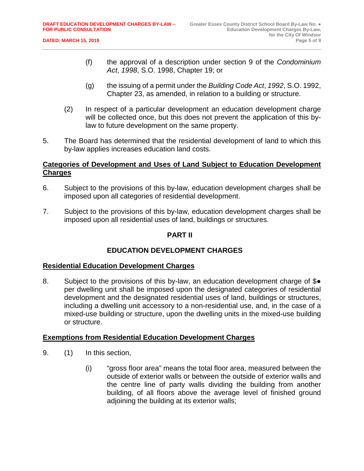- (f) the approval of a description under section 9 of the *Condominium Act*, *1998*, S.O. 1998, Chapter 19; or
- (g) the issuing of a permit under the *Building Code Act*, *1992*, S.O. 1992, Chapter 23, as amended, in relation to a building or structure.
- (2) In respect of a particular development an education development charge will be collected once, but this does not prevent the application of this bylaw to future development on the same property.
- 5. The Board has determined that the residential development of land to which this by-law applies increases education land costs.

## **Categories of Development and Uses of Land Subject to Education Development Charges**

- 6. Subject to the provisions of this by-law, education development charges shall be imposed upon all categories of residential development.
- 7. Subject to the provisions of this by-law, education development charges shall be imposed upon all residential uses of land, buildings or structures.

# **PART II**

# **EDUCATION DEVELOPMENT CHARGES**

### **Residential Education Development Charges**

8. Subject to the provisions of this by-law, an education development charge of \$ $\bullet$ per dwelling unit shall be imposed upon the designated categories of residential development and the designated residential uses of land, buildings or structures, including a dwelling unit accessory to a non-residential use, and, in the case of a mixed-use building or structure, upon the dwelling units in the mixed-use building or structure.

### **Exemptions from Residential Education Development Charges**

- 9. (1) In this section,
	- (i) "gross floor area" means the total floor area, measured between the outside of exterior walls or between the outside of exterior walls and the centre line of party walls dividing the building from another building, of all floors above the average level of finished ground adjoining the building at its exterior walls;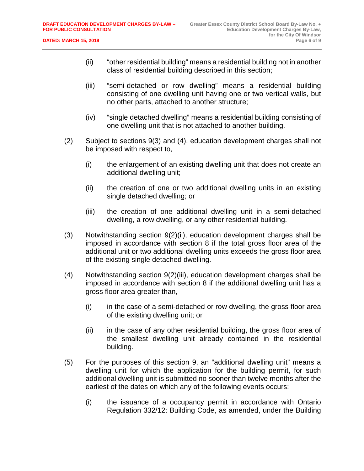- (ii) "other residential building" means a residential building not in another class of residential building described in this section;
- (iii) "semi-detached or row dwelling" means a residential building consisting of one dwelling unit having one or two vertical walls, but no other parts, attached to another structure;
- (iv) "single detached dwelling" means a residential building consisting of one dwelling unit that is not attached to another building.
- (2) Subject to sections 9(3) and (4), education development charges shall not be imposed with respect to,
	- (i) the enlargement of an existing dwelling unit that does not create an additional dwelling unit;
	- (ii) the creation of one or two additional dwelling units in an existing single detached dwelling; or
	- (iii) the creation of one additional dwelling unit in a semi-detached dwelling, a row dwelling, or any other residential building.
- (3) Notwithstanding section 9(2)(ii), education development charges shall be imposed in accordance with section 8 if the total gross floor area of the additional unit or two additional dwelling units exceeds the gross floor area of the existing single detached dwelling.
- (4) Notwithstanding section 9(2)(iii), education development charges shall be imposed in accordance with section 8 if the additional dwelling unit has a gross floor area greater than,
	- (i) in the case of a semi-detached or row dwelling, the gross floor area of the existing dwelling unit; or
	- (ii) in the case of any other residential building, the gross floor area of the smallest dwelling unit already contained in the residential building.
- (5) For the purposes of this section 9, an "additional dwelling unit" means a dwelling unit for which the application for the building permit, for such additional dwelling unit is submitted no sooner than twelve months after the earliest of the dates on which any of the following events occurs:
	- (i) the issuance of a occupancy permit in accordance with Ontario Regulation 332/12: Building Code, as amended, under the Building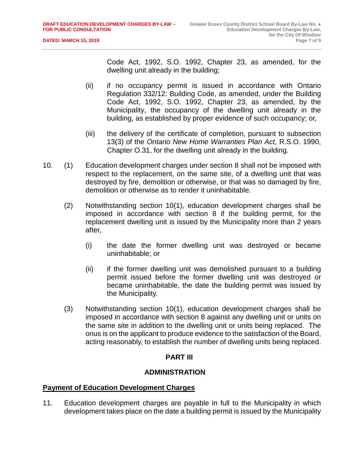Code Act, 1992, S.O. 1992, Chapter 23, as amended, for the dwelling unit already in the building;

- (ii) if no occupancy permit is issued in accordance with Ontario Regulation 332/12: Building Code, as amended, under the Building Code Act, 1992, S.O. 1992, Chapter 23, as amended, by the Municipality, the occupancy of the dwelling unit already in the building, as established by proper evidence of such occupancy; or,
- (iii) the delivery of the certificate of completion, pursuant to subsection 13(3) of the *Ontario New Home Warranties Plan Act*, R.S.O. 1990, Chapter O.31, for the dwelling unit already in the building.
- 10. (1) Education development charges under section 8 shall not be imposed with respect to the replacement, on the same site, of a dwelling unit that was destroyed by fire, demolition or otherwise, or that was so damaged by fire, demolition or otherwise as to render it uninhabitable.
	- (2) Notwithstanding section 10(1), education development charges shall be imposed in accordance with section 8 if the building permit, for the replacement dwelling unit is issued by the Municipality more than 2 years after,
		- (i) the date the former dwelling unit was destroyed or became uninhabitable; or
		- (ii) if the former dwelling unit was demolished pursuant to a building permit issued before the former dwelling unit was destroyed or became uninhabitable, the date the building permit was issued by the Municipality.
	- (3) Notwithstanding section 10(1), education development charges shall be imposed in accordance with section 8 against any dwelling unit or units on the same site in addition to the dwelling unit or units being replaced. The onus is on the applicant to produce evidence to the satisfaction of the Board, acting reasonably, to establish the number of dwelling units being replaced.

### **PART III**

### **ADMINISTRATION**

#### **Payment of Education Development Charges**

11. Education development charges are payable in full to the Municipality in which development takes place on the date a building permit is issued by the Municipality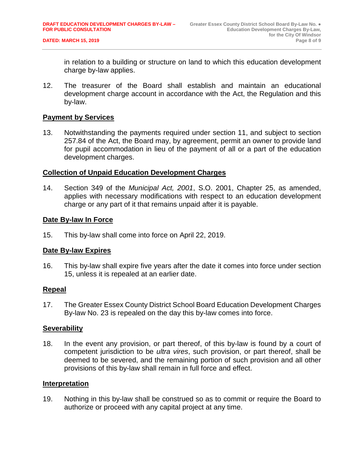in relation to a building or structure on land to which this education development charge by-law applies.

12. The treasurer of the Board shall establish and maintain an educational development charge account in accordance with the Act, the Regulation and this by-law.

#### **Payment by Services**

13. Notwithstanding the payments required under section 11, and subject to section 257.84 of the Act, the Board may, by agreement, permit an owner to provide land for pupil accommodation in lieu of the payment of all or a part of the education development charges.

#### **Collection of Unpaid Education Development Charges**

14. Section 349 of the *Municipal Act, 2001*, S.O. 2001, Chapter 25, as amended, applies with necessary modifications with respect to an education development charge or any part of it that remains unpaid after it is payable.

#### **Date By-law In Force**

15. This by-law shall come into force on April 22, 2019.

### **Date By-law Expires**

16. This by-law shall expire five years after the date it comes into force under section 15, unless it is repealed at an earlier date.

### **Repeal**

17. The Greater Essex County District School Board Education Development Charges By-law No. 23 is repealed on the day this by-law comes into force.

#### **Severability**

18. In the event any provision, or part thereof, of this by-law is found by a court of competent jurisdiction to be *ultra vires*, such provision, or part thereof, shall be deemed to be severed, and the remaining portion of such provision and all other provisions of this by-law shall remain in full force and effect.

#### **Interpretation**

19. Nothing in this by-law shall be construed so as to commit or require the Board to authorize or proceed with any capital project at any time.